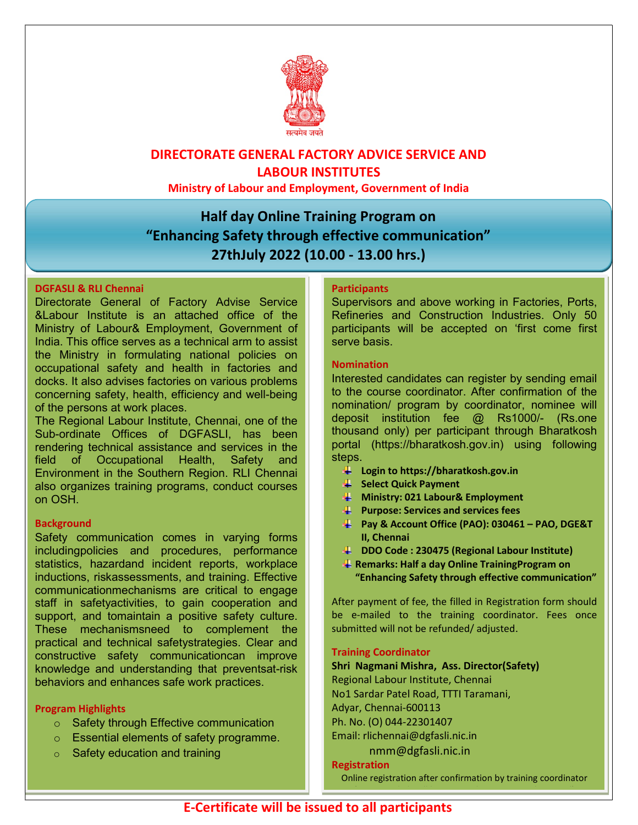

# DIRECTORATE GENERAL FACTORY ADVICE SERVICE AND LABOUR INSTITUTES

Ministry of Labour and Employment, Government of India

# Half day Online Training Program on "Enhancing Safety through effective communication" 27thJuly 2022 (10.00 - 13.00 hrs.)

## DGFASLI & RLI Chennai

Directorate General of Factory Advise Service &Labour Institute is an attached office of the Ministry of Labour& Employment, Government of India. This office serves as a technical arm to assist the Ministry in formulating national policies on occupational safety and health in factories and docks. It also advises factories on various problems concerning safety, health, efficiency and well-being of the persons at work places.

The Regional Labour Institute, Chennai, one of the Sub-ordinate Offices of DGFASLI, has been rendering technical assistance and services in the field of Occupational Health, Safety and Environment in the Southern Region. RLI Chennai also organizes training programs, conduct courses on OSH.

## **Background**

Safety communication comes in varying forms includingpolicies and procedures, performance statistics, hazardand incident reports, workplace inductions, riskassessments, and training. Effective communicationmechanisms are critical to engage staff in safetyactivities, to gain cooperation and support, and tomaintain a positive safety culture. These mechanismsneed to complement the practical and technical safetystrategies. Clear and constructive safety communicationcan improve knowledge and understanding that preventsat-risk behaviors and enhances safe work practices.

## Program Highlights

- o Safety through Effective communication
- o Essential elements of safety programme.
- $\circ$  Safety education and training

### **Participants**

Supervisors and above working in Factories, Ports, Refineries and Construction Industries. Only 50 participants will be accepted on 'first come first serve basis.

#### Nomination

Interested candidates can register by sending email to the course coordinator. After confirmation of the nomination/ program by coordinator, nominee will deposit institution fee @ Rs1000/- (Rs.one thousand only) per participant through Bharatkosh portal (https://bharatkosh.gov.in) using following steps.

- $\downarrow$  Login to https://bharatkosh.gov.in
- Select Quick Payment
- **Ministry: 021 Labour& Employment**
- **Purpose: Services and services fees**
- Pay & Account Office (PAO): 030461 PAO, DGE&T II, Chennai
- DDO Code : 230475 (Regional Labour Institute)
- **A** Remarks: Half a day Online Training Program on "Enhancing Safety through effective communication"

After payment of fee, the filled in Registration form should be e-mailed to the training coordinator. Fees once submitted will not be refunded/ adjusted.

#### Training Coordinator

Shri Nagmani Mishra, Ass. Director(Safety) Regional Labour Institute, Chennai No1 Sardar Patel Road, TTTI Taramani, Adyar, Chennai-600113 Ph. No. (O) 044-22301407 Email: rlichennai@dgfasli.nic.in nmm@dgfasli.nic.in

Registration

Online registration after confirmation by training coordinator (Invitation link will be sent to the participant by e-mail)) and  $\phi$  -mail  $\phi$  -mail  $\phi$